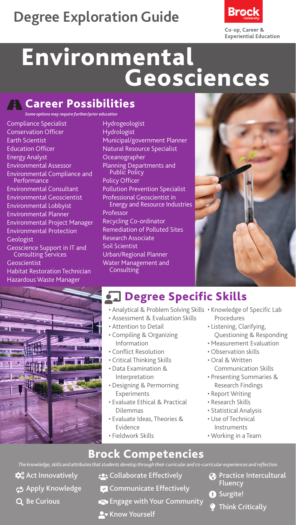# **Degree Exploration Guide**



# Environmental Geosciences

#### **The Career Possibilities**

*Some options may require further/prior education*

Compliance Specialist Conservation Officer Earth Scientist Education Officer Energy Analyst Environmental Assessor Environmental Compliance and Performance Environmental Consultant Environmental Geoscientist Environmental Lobbyist Environmental Planner Environmental Project Manager Environmental Protection Geologist Geoscience Support in IT and Consulting Services Geoscientist Habitat Restoration Technician Hazardous Waste Manager



Hydrogeologist Hydrologist Municipal/government Planner Natural Resource Specialist **Oceanographer** Planning Departments and Public Policy Policy Officer Pollution Prevention Specialist Professional Geoscientist in Energy and Resource Industries Professor Recycling Co-ordinator Remediation of Polluted Sites Research Associate Soil Scientist Urban/Regional Planner Water Management and Consulting



# **J** Degree Specific Skills

- Analytical & Problem Solving Skills Knowledge of Specific Lab
- Assessment & Evaluation Skills
- Attention to Detail
- Compiling & Organizing Information
- Conflict Resolution
- Critical Thinking Skills
- Data Examination & Interpretation
- Designing & Permorning Experiments
- Evaluate Ethical & Practical Dilemmas
- Evaluate Ideas, Theories & Evidence
- Fieldwork Skills
- Procedures
- Listening, Clarifying, Questioning & Responding
- Measurement Evaluation
- Observation skills
- Oral & Written Communication Skills
- Presenting Summaries & Research Findings
- Report Writing
- Research Skills
- Statistical Analysis
- Use of Technical Instruments
- Working in a Team

Brock Competencies *The knowledge, skills and attributes that students develop through their curricular and co-curricular experiences and reflection.*

- $\mathbf{\hat{\alpha}}^{\circ}_{\mathbf{o}}$  Act Innovatively
- **Apply Knowledge**
- Q Be Curious
- **:** Collaborate Effectively
- $\triangledown$  Communicate Effectively
- Engage with Your Community
- **A** Know Yourself
- **Practice Intercultural** Fluency
- **O** Surgite!
	- Think Critically